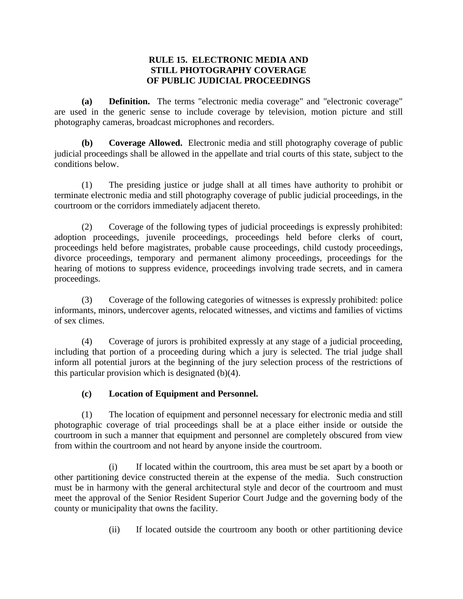### **RULE 15. ELECTRONIC MEDIA AND STILL PHOTOGRAPHY COVERAGE OF PUBLIC JUDICIAL PROCEEDINGS**

**(a) Definition.** The terms "electronic media coverage" and "electronic coverage" are used in the generic sense to include coverage by television, motion picture and still photography cameras, broadcast microphones and recorders.

**(b) Coverage Allowed.** Electronic media and still photography coverage of public judicial proceedings shall be allowed in the appellate and trial courts of this state, subject to the conditions below.

(1) The presiding justice or judge shall at all times have authority to prohibit or terminate electronic media and still photography coverage of public judicial proceedings, in the courtroom or the corridors immediately adjacent thereto.

(2) Coverage of the following types of judicial proceedings is expressly prohibited: adoption proceedings, juvenile proceedings, proceedings held before clerks of court, proceedings held before magistrates, probable cause proceedings, child custody proceedings, divorce proceedings, temporary and permanent alimony proceedings, proceedings for the hearing of motions to suppress evidence, proceedings involving trade secrets, and in camera proceedings.

(3) Coverage of the following categories of witnesses is expressly prohibited: police informants, minors, undercover agents, relocated witnesses, and victims and families of victims of sex climes.

(4) Coverage of jurors is prohibited expressly at any stage of a judicial proceeding, including that portion of a proceeding during which a jury is selected. The trial judge shall inform all potential jurors at the beginning of the jury selection process of the restrictions of this particular provision which is designated (b)(4).

## **(c) Location of Equipment and Personnel.**

(1) The location of equipment and personnel necessary for electronic media and still photographic coverage of trial proceedings shall be at a place either inside or outside the courtroom in such a manner that equipment and personnel are completely obscured from view from within the courtroom and not heard by anyone inside the courtroom.

(i) If located within the courtroom, this area must be set apart by a booth or other partitioning device constructed therein at the expense of the media. Such construction must be in harmony with the general architectural style and decor of the courtroom and must meet the approval of the Senior Resident Superior Court Judge and the governing body of the county or municipality that owns the facility.

(ii) If located outside the courtroom any booth or other partitioning device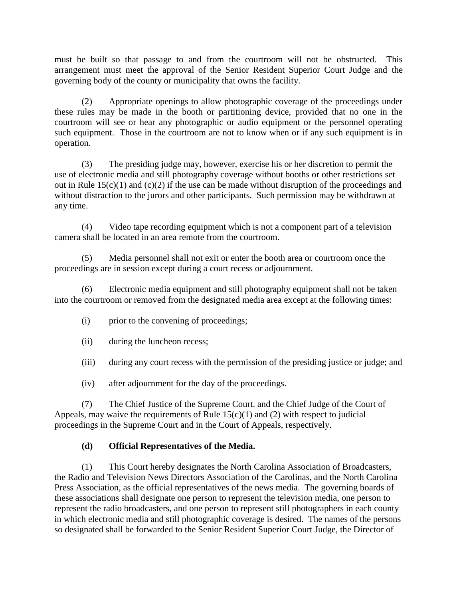must be built so that passage to and from the courtroom will not be obstructed. This arrangement must meet the approval of the Senior Resident Superior Court Judge and the governing body of the county or municipality that owns the facility.

(2) Appropriate openings to allow photographic coverage of the proceedings under these rules may be made in the booth or partitioning device, provided that no one in the courtroom will see or hear any photographic or audio equipment or the personnel operating such equipment. Those in the courtroom are not to know when or if any such equipment is in operation.

(3) The presiding judge may, however, exercise his or her discretion to permit the use of electronic media and still photography coverage without booths or other restrictions set out in Rule  $15(c)(1)$  and  $(c)(2)$  if the use can be made without disruption of the proceedings and without distraction to the jurors and other participants. Such permission may be withdrawn at any time.

(4) Video tape recording equipment which is not a component part of a television camera shall be located in an area remote from the courtroom.

(5) Media personnel shall not exit or enter the booth area or courtroom once the proceedings are in session except during a court recess or adjournment.

(6) Electronic media equipment and still photography equipment shall not be taken into the courtroom or removed from the designated media area except at the following times:

- (i) prior to the convening of proceedings;
- (ii) during the luncheon recess;

(iii) during any court recess with the permission of the presiding justice or judge; and

(iv) after adjournment for the day of the proceedings.

(7) The Chief Justice of the Supreme Court. and the Chief Judge of the Court of Appeals, may waive the requirements of Rule  $15(c)(1)$  and (2) with respect to judicial proceedings in the Supreme Court and in the Court of Appeals, respectively.

## **(d) Official Representatives of the Media.**

(1) This Court hereby designates the North Carolina Association of Broadcasters, the Radio and Television News Directors Association of the Carolinas, and the North Carolina Press Association, as the official representatives of the news media. The governing boards of these associations shall designate one person to represent the television media, one person to represent the radio broadcasters, and one person to represent still photographers in each county in which electronic media and still photographic coverage is desired. The names of the persons so designated shall be forwarded to the Senior Resident Superior Court Judge, the Director of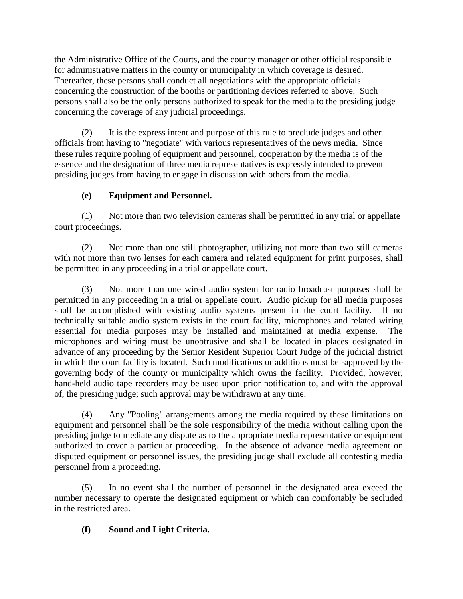the Administrative Office of the Courts, and the county manager or other official responsible for administrative matters in the county or municipality in which coverage is desired. Thereafter, these persons shall conduct all negotiations with the appropriate officials concerning the construction of the booths or partitioning devices referred to above. Such persons shall also be the only persons authorized to speak for the media to the presiding judge concerning the coverage of any judicial proceedings.

(2) It is the express intent and purpose of this rule to preclude judges and other officials from having to "negotiate" with various representatives of the news media. Since these rules require pooling of equipment and personnel, cooperation by the media is of the essence and the designation of three media representatives is expressly intended to prevent presiding judges from having to engage in discussion with others from the media.

# **(e) Equipment and Personnel.**

(1) Not more than two television cameras shall be permitted in any trial or appellate court proceedings.

(2) Not more than one still photographer, utilizing not more than two still cameras with not more than two lenses for each camera and related equipment for print purposes, shall be permitted in any proceeding in a trial or appellate court.

(3) Not more than one wired audio system for radio broadcast purposes shall be permitted in any proceeding in a trial or appellate court. Audio pickup for all media purposes shall be accomplished with existing audio systems present in the court facility. If no technically suitable audio system exists in the court facility, microphones and related wiring essential for media purposes may be installed and maintained at media expense. The microphones and wiring must be unobtrusive and shall be located in places designated in advance of any proceeding by the Senior Resident Superior Court Judge of the judicial district in which the court facility is located. Such modifications or additions must be -approved by the governing body of the county or municipality which owns the facility. Provided, however, hand-held audio tape recorders may be used upon prior notification to, and with the approval of, the presiding judge; such approval may be withdrawn at any time.

(4) Any "Pooling" arrangements among the media required by these limitations on equipment and personnel shall be the sole responsibility of the media without calling upon the presiding judge to mediate any dispute as to the appropriate media representative or equipment authorized to cover a particular proceeding. In the absence of advance media agreement on disputed equipment or personnel issues, the presiding judge shall exclude all contesting media personnel from a proceeding.

(5) In no event shall the number of personnel in the designated area exceed the number necessary to operate the designated equipment or which can comfortably be secluded in the restricted area.

# **(f) Sound and Light Criteria.**